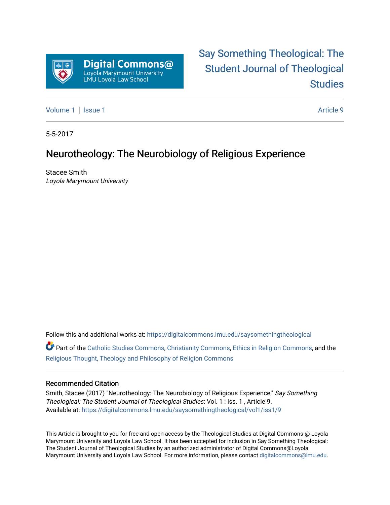

# [Say Something Theological: The](https://digitalcommons.lmu.edu/saysomethingtheological)  [Student Journal of Theological](https://digitalcommons.lmu.edu/saysomethingtheological)  **Studies**

[Volume 1](https://digitalcommons.lmu.edu/saysomethingtheological/vol1) | [Issue 1](https://digitalcommons.lmu.edu/saysomethingtheological/vol1/iss1) Article 9

5-5-2017

## Neurotheology: The Neurobiology of Religious Experience

Stacee Smith Loyola Marymount University

Follow this and additional works at: [https://digitalcommons.lmu.edu/saysomethingtheological](https://digitalcommons.lmu.edu/saysomethingtheological?utm_source=digitalcommons.lmu.edu%2Fsaysomethingtheological%2Fvol1%2Fiss1%2F9&utm_medium=PDF&utm_campaign=PDFCoverPages)

Part of the [Catholic Studies Commons](http://network.bepress.com/hgg/discipline/1294?utm_source=digitalcommons.lmu.edu%2Fsaysomethingtheological%2Fvol1%2Fiss1%2F9&utm_medium=PDF&utm_campaign=PDFCoverPages), [Christianity Commons](http://network.bepress.com/hgg/discipline/1181?utm_source=digitalcommons.lmu.edu%2Fsaysomethingtheological%2Fvol1%2Fiss1%2F9&utm_medium=PDF&utm_campaign=PDFCoverPages), [Ethics in Religion Commons,](http://network.bepress.com/hgg/discipline/541?utm_source=digitalcommons.lmu.edu%2Fsaysomethingtheological%2Fvol1%2Fiss1%2F9&utm_medium=PDF&utm_campaign=PDFCoverPages) and the [Religious Thought, Theology and Philosophy of Religion Commons](http://network.bepress.com/hgg/discipline/544?utm_source=digitalcommons.lmu.edu%2Fsaysomethingtheological%2Fvol1%2Fiss1%2F9&utm_medium=PDF&utm_campaign=PDFCoverPages) 

#### Recommended Citation

Smith, Stacee (2017) "Neurotheology: The Neurobiology of Religious Experience," Say Something Theological: The Student Journal of Theological Studies: Vol. 1 : Iss. 1 , Article 9. Available at: [https://digitalcommons.lmu.edu/saysomethingtheological/vol1/iss1/9](https://digitalcommons.lmu.edu/saysomethingtheological/vol1/iss1/9?utm_source=digitalcommons.lmu.edu%2Fsaysomethingtheological%2Fvol1%2Fiss1%2F9&utm_medium=PDF&utm_campaign=PDFCoverPages) 

This Article is brought to you for free and open access by the Theological Studies at Digital Commons @ Loyola Marymount University and Loyola Law School. It has been accepted for inclusion in Say Something Theological: The Student Journal of Theological Studies by an authorized administrator of Digital Commons@Loyola Marymount University and Loyola Law School. For more information, please contact [digitalcommons@lmu.edu](mailto:digitalcommons@lmu.edu).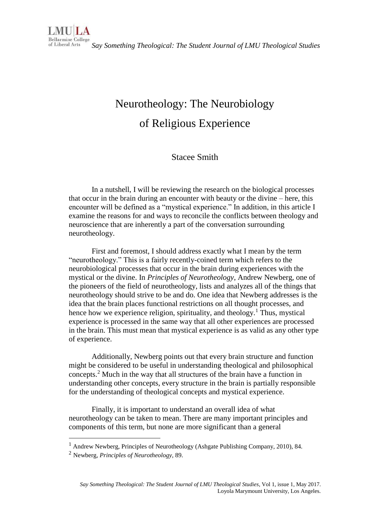*Say Something Theological: The Student Journal of LMU Theological Studies* 

# Neurotheology: The Neurobiology of Religious Experience

## Stacee Smith

In a nutshell, I will be reviewing the research on the biological processes that occur in the brain during an encounter with beauty or the divine – here, this encounter will be defined as a "mystical experience." In addition, in this article I examine the reasons for and ways to reconcile the conflicts between theology and neuroscience that are inherently a part of the conversation surrounding neurotheology.

First and foremost, I should address exactly what I mean by the term "neurotheology." This is a fairly recently-coined term which refers to the neurobiological processes that occur in the brain during experiences with the mystical or the divine. In *Principles of Neurotheology*, Andrew Newberg, one of the pioneers of the field of neurotheology, lists and analyzes all of the things that neurotheology should strive to be and do. One idea that Newberg addresses is the idea that the brain places functional restrictions on all thought processes, and hence how we experience religion, spirituality, and theology.<sup>1</sup> Thus, mystical experience is processed in the same way that all other experiences are processed in the brain. This must mean that mystical experience is as valid as any other type of experience.

Additionally, Newberg points out that every brain structure and function might be considered to be useful in understanding theological and philosophical concepts.<sup>2</sup> Much in the way that all structures of the brain have a function in understanding other concepts, every structure in the brain is partially responsible for the understanding of theological concepts and mystical experience.

Finally, it is important to understand an overall idea of what neurotheology can be taken to mean. There are many important principles and components of this term, but none are more significant than a general

 $\overline{a}$ 

<sup>1</sup> Andrew Newberg, Principles of Neurotheology (Ashgate Publishing Company, 2010), 84.

<sup>2</sup> Newberg, *Principles of Neurotheology*, 89.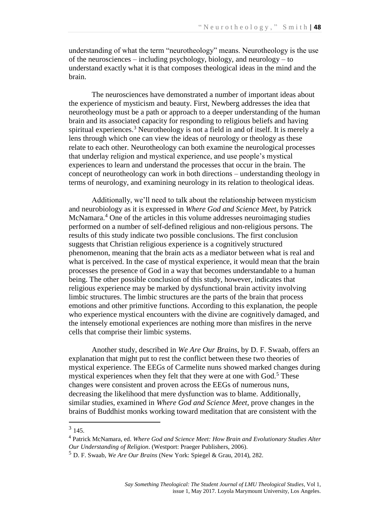understanding of what the term "neurotheology" means. Neurotheology is the use of the neurosciences – including psychology, biology, and neurology – to understand exactly what it is that composes theological ideas in the mind and the brain.

The neurosciences have demonstrated a number of important ideas about the experience of mysticism and beauty. First, Newberg addresses the idea that neurotheology must be a path or approach to a deeper understanding of the human brain and its associated capacity for responding to religious beliefs and having spiritual experiences.<sup>3</sup> Neurotheology is not a field in and of itself. It is merely a lens through which one can view the ideas of neurology or theology as these relate to each other. Neurotheology can both examine the neurological processes that underlay religion and mystical experience, and use people's mystical experiences to learn and understand the processes that occur in the brain. The concept of neurotheology can work in both directions – understanding theology in terms of neurology, and examining neurology in its relation to theological ideas.

Additionally, we'll need to talk about the relationship between mysticism and neurobiology as it is expressed in *Where God and Science Meet*, by Patrick McNamara.<sup>4</sup> One of the articles in this volume addresses neuroimaging studies performed on a number of self-defined religious and non-religious persons. The results of this study indicate two possible conclusions. The first conclusion suggests that Christian religious experience is a cognitively structured phenomenon, meaning that the brain acts as a mediator between what is real and what is perceived. In the case of mystical experience, it would mean that the brain processes the presence of God in a way that becomes understandable to a human being. The other possible conclusion of this study, however, indicates that religious experience may be marked by dysfunctional brain activity involving limbic structures. The limbic structures are the parts of the brain that process emotions and other primitive functions. According to this explanation, the people who experience mystical encounters with the divine are cognitively damaged, and the intensely emotional experiences are nothing more than misfires in the nerve cells that comprise their limbic systems.

Another study, described in *We Are Our Brains*, by D. F. Swaab, offers an explanation that might put to rest the conflict between these two theories of mystical experience. The EEGs of Carmelite nuns showed marked changes during mystical experiences when they felt that they were at one with  $God<sup>5</sup>$ . These changes were consistent and proven across the EEGs of numerous nuns, decreasing the likelihood that mere dysfunction was to blame. Additionally, similar studies, examined in *Where God and Science Meet*, prove changes in the brains of Buddhist monks working toward meditation that are consistent with the

 $\overline{\phantom{a}}$ 

 $3\,145.$ 

<sup>4</sup> Patrick McNamara, ed. *Where God and Science Meet: How Brain and Evolutionary Studies Alter Our Understanding of Religion*. (Westport: Praeger Publishers, 2006).

<sup>5</sup> D. F. Swaab, *We Are Our Brains* (New York: Spiegel & Grau, 2014), 282.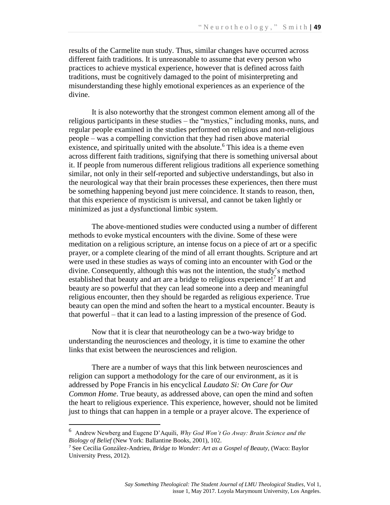results of the Carmelite nun study. Thus, similar changes have occurred across different faith traditions. It is unreasonable to assume that every person who practices to achieve mystical experience, however that is defined across faith traditions, must be cognitively damaged to the point of misinterpreting and misunderstanding these highly emotional experiences as an experience of the divine.

It is also noteworthy that the strongest common element among all of the religious participants in these studies – the "mystics," including monks, nuns, and regular people examined in the studies performed on religious and non-religious people – was a compelling conviction that they had risen above material existence, and spiritually united with the absolute.<sup>6</sup> This idea is a theme even across different faith traditions, signifying that there is something universal about it. If people from numerous different religious traditions all experience something similar, not only in their self-reported and subjective understandings, but also in the neurological way that their brain processes these experiences, then there must be something happening beyond just mere coincidence. It stands to reason, then, that this experience of mysticism is universal, and cannot be taken lightly or minimized as just a dysfunctional limbic system.

The above-mentioned studies were conducted using a number of different methods to evoke mystical encounters with the divine. Some of these were meditation on a religious scripture, an intense focus on a piece of art or a specific prayer, or a complete clearing of the mind of all errant thoughts. Scripture and art were used in these studies as ways of coming into an encounter with God or the divine. Consequently, although this was not the intention, the study's method established that beauty and art are a bridge to religious experience!<sup>7</sup> If art and beauty are so powerful that they can lead someone into a deep and meaningful religious encounter, then they should be regarded as religious experience. True beauty can open the mind and soften the heart to a mystical encounter. Beauty is that powerful – that it can lead to a lasting impression of the presence of God.

Now that it is clear that neurotheology can be a two-way bridge to understanding the neurosciences and theology, it is time to examine the other links that exist between the neurosciences and religion.

There are a number of ways that this link between neurosciences and religion can support a methodology for the care of our environment, as it is addressed by Pope Francis in his encyclical *Laudato Si: On Care for Our Common Home*. True beauty, as addressed above, can open the mind and soften the heart to religious experience. This experience, however, should not be limited just to things that can happen in a temple or a prayer alcove. The experience of

 $\overline{a}$ 

<sup>6</sup> Andrew Newberg and Eugene D'Aquili, *Why God Won't Go Away: Brain Science and the Biology of Belief* (New York: Ballantine Books, 2001), 102.

<sup>7</sup> See Cecilia González-Andrieu, *Bridge to Wonder: Art as a Gospel of Beauty,* (Waco: Baylor University Press, 2012).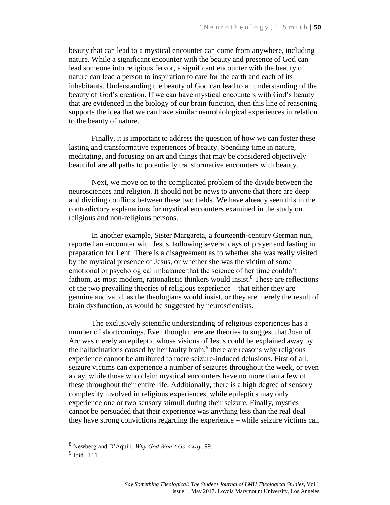beauty that can lead to a mystical encounter can come from anywhere, including nature. While a significant encounter with the beauty and presence of God can lead someone into religious fervor, a significant encounter with the beauty of nature can lead a person to inspiration to care for the earth and each of its inhabitants. Understanding the beauty of God can lead to an understanding of the beauty of God's creation. If we can have mystical encounters with God's beauty that are evidenced in the biology of our brain function, then this line of reasoning supports the idea that we can have similar neurobiological experiences in relation to the beauty of nature.

Finally, it is important to address the question of how we can foster these lasting and transformative experiences of beauty. Spending time in nature, meditating, and focusing on art and things that may be considered objectively beautiful are all paths to potentially transformative encounters with beauty.

Next, we move on to the complicated problem of the divide between the neurosciences and religion. It should not be news to anyone that there are deep and dividing conflicts between these two fields. We have already seen this in the contradictory explanations for mystical encounters examined in the study on religious and non-religious persons.

In another example, Sister Margareta, a fourteenth-century German nun, reported an encounter with Jesus, following several days of prayer and fasting in preparation for Lent. There is a disagreement as to whether she was really visited by the mystical presence of Jesus, or whether she was the victim of some emotional or psychological imbalance that the science of her time couldn't fathom, as most modern, rationalistic thinkers would insist.<sup>8</sup> These are reflections of the two prevailing theories of religious experience – that either they are genuine and valid, as the theologians would insist, or they are merely the result of brain dysfunction, as would be suggested by neuroscientists.

The exclusively scientific understanding of religious experiences has a number of shortcomings. Even though there are theories to suggest that Joan of Arc was merely an epileptic whose visions of Jesus could be explained away by the hallucinations caused by her faulty brain, $9$  there are reasons why religious experience cannot be attributed to mere seizure-induced delusions. First of all, seizure victims can experience a number of seizures throughout the week, or even a day, while those who claim mystical encounters have no more than a few of these throughout their entire life. Additionally, there is a high degree of sensory complexity involved in religious experiences, while epileptics may only experience one or two sensory stimuli during their seizure. Finally, mystics cannot be persuaded that their experience was anything less than the real deal – they have strong convictions regarding the experience – while seizure victims can

 $\overline{a}$ 

<sup>8</sup> Newberg and D'Aquili, *Why God Won't Go Away*, 99.

<sup>&</sup>lt;sup>9</sup> Ibid., 111.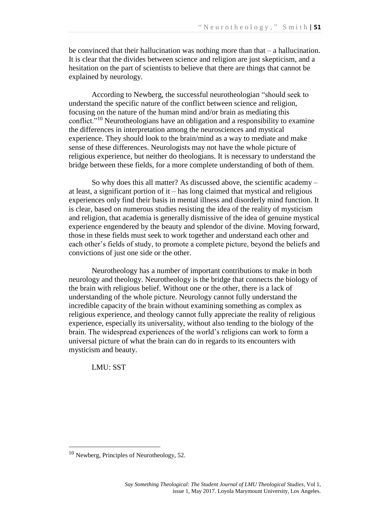be convinced that their hallucination was nothing more than that  $-$  a hallucination. It is clear that the divides between science and religion are just skepticism, and a hesitation on the part of scientists to believe that there are things that cannot be explained by neurology.

According to Newberg, the successful neurotheologian "should seek to understand the specific nature of the conflict between science and religion, focusing on the nature of the human mind and/or brain as mediating this conflict."<sup>10</sup> Neurotheologians have an obligation and a responsibility to examine the differences in interpretation among the neurosciences and mystical experience. They should look to the brain/mind as a way to mediate and make sense of these differences. Neurologists may not have the whole picture of religious experience, but neither do theologians. It is necessary to understand the bridge between these fields, for a more complete understanding of both of them.

So why does this all matter? As discussed above, the scientific academy – at least, a significant portion of it – has long claimed that mystical and religious experiences only find their basis in mental illness and disorderly mind function. It is clear, based on numerous studies resisting the idea of the reality of mysticism and religion, that academia is generally dismissive of the idea of genuine mystical experience engendered by the beauty and splendor of the divine. Moving forward, those in these fields must seek to work together and understand each other and each other's fields of study, to promote a complete picture, beyond the beliefs and convictions of just one side or the other.

Neurotheology has a number of important contributions to make in both neurology and theology. Neurotheology is the bridge that connects the biology of the brain with religious belief. Without one or the other, there is a lack of understanding of the whole picture. Neurology cannot fully understand the incredible capacity of the brain without examining something as complex as religious experience, and theology cannot fully appreciate the reality of religious experience, especially its universality, without also tending to the biology of the brain. The widespread experiences of the world's religions can work to form a universal picture of what the brain can do in regards to its encounters with mysticism and beauty.

LMU: SST

 $\overline{\phantom{a}}$ 

 $10$  Newberg, Principles of Neurotheology, 52.